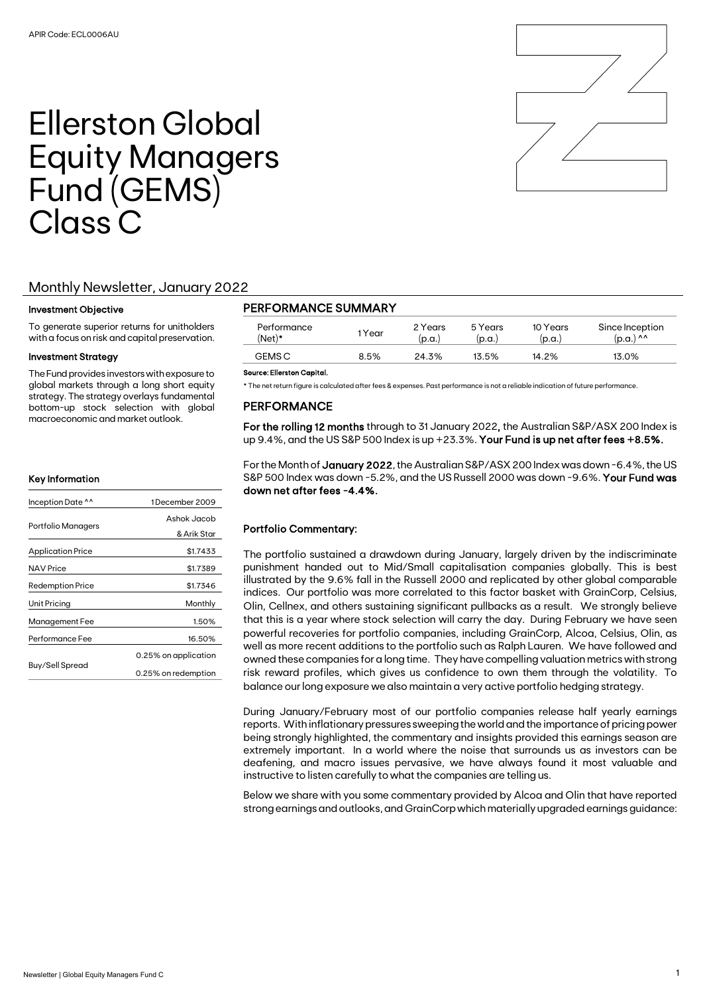

# Ellerston Global Equity Managers Fund (GEMS) Class C

# Monthly Newsletter, January 2022

### Investment Objective

To generate superior returns for unitholders with a focus on risk and capital preservation.

## Investment Strategy

The Fund provides investors with exposure to global markets through a long short equity strategy. The strategy overlays fundamental bottom-up stock selection with global macroeconomic and market outlook.

#### Key Information

|                          | 1December 2009       |  |  |
|--------------------------|----------------------|--|--|
| Inception Date ^^        |                      |  |  |
|                          | Ashok Jacob          |  |  |
| Portfolio Managers       | & Arik Star          |  |  |
| <b>Application Price</b> | \$1.7433             |  |  |
| <b>NAV Price</b>         | \$1.7389             |  |  |
| <b>Redemption Price</b>  | \$1.7346             |  |  |
| Unit Pricing             | Monthly              |  |  |
| Management Fee           | 1.50%                |  |  |
| Performance Fee          | 16.50%               |  |  |
|                          | 0.25% on application |  |  |
| Buy/Sell Spread          | 0.25% on redemption  |  |  |

# PERFORMANCE SUMMARY

| Performance<br>(Net)* | 1Year | 2 Years<br>(p.a.) | 5 Years<br>(p.a.) | 10 Years<br>(p.a.) | Since Inception<br>(p.a.) ^^ |
|-----------------------|-------|-------------------|-------------------|--------------------|------------------------------|
| <b>GEMS C</b>         | 8.5%  | 24.3%             | 13.5%             | 14.2%              | 13.0%                        |
|                       |       |                   |                   |                    |                              |

#### Source: Ellerston Capital.

\* The net return figure is calculated after fees & expenses. Past performance is not a reliable indication of future performance.

# PERFORMANCE

For the rolling 12 months through to 31 January 2022, the Australian S&P/ASX 200 Index is up 9.4%, and the US S&P 500 Index is up +23.3%. Your Fund is up net after fees +8.5%.

For the Month of January 2022, the Australian S&P/ASX 200 Index was down -6.4%, the US S&P 500 Index was down -5.2%, and the US Russell 2000 was down -9.6%. Your Fund was down net after fees -4.4%.

## Portfolio Commentary:

The portfolio sustained a drawdown during January, largely driven by the indiscriminate punishment handed out to Mid/Small capitalisation companies globally. This is best illustrated by the 9.6% fall in the Russell 2000 and replicated by other global comparable indices. Our portfolio was more correlated to this factor basket with GrainCorp, Celsius, Olin, Cellnex, and others sustaining significant pullbacks as a result. We strongly believe that this is a year where stock selection will carry the day. During February we have seen powerful recoveries for portfolio companies, including GrainCorp, Alcoa, Celsius, Olin, as well as more recent additions to the portfolio such as Ralph Lauren. We have followed and owned these companies for a long time. They have compelling valuation metrics with strong risk reward profiles, which gives us confidence to own them through the volatility. To balance our long exposure we also maintain a very active portfolio hedging strategy.

During January/February most of our portfolio companies release half yearly earnings reports. With inflationary pressures sweeping the world and the importance of pricing power being strongly highlighted, the commentary and insights provided this earnings season are extremely important. In a world where the noise that surrounds us as investors can be deafening, and macro issues pervasive, we have always found it most valuable and instructive to listen carefully to what the companies are telling us.

Below we share with you some commentary provided by Alcoa and Olin that have reported strong earnings and outlooks, and GrainCorp which materially upgraded earnings guidance: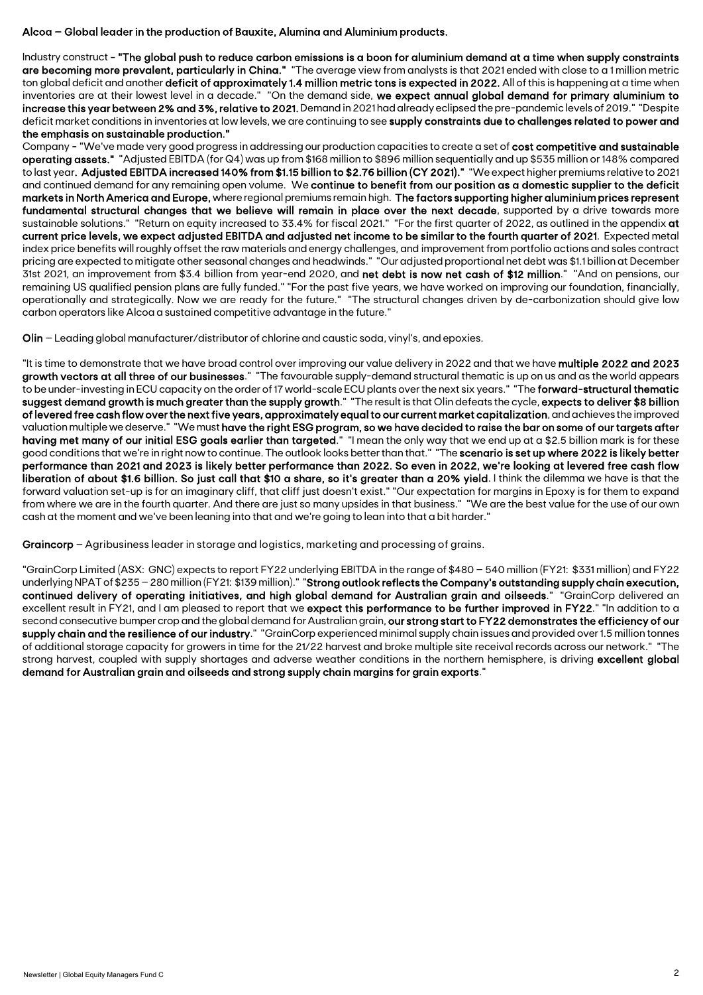# Alcoa – Global leader in the production of Bauxite, Alumina and Aluminium products.

Industry construct - "The global push to reduce carbon emissions is a boon for aluminium demand at a time when supply constraints are becoming more prevalent, particularly in China." "The average view from analysts is that 2021 ended with close to a 1 million metric ton global deficit and another deficit of approximately 1.4 million metric tons is expected in 2022. All of this is happening at a time when inventories are at their lowest level in a decade." "On the demand side, we expect annual global demand for primary aluminium to increase this year between 2% and 3%, relative to 2021. Demand in 2021 had already eclipsed the pre-pandemic levels of 2019." "Despite deficit market conditions in inventories at low levels, we are continuing to see supply constraints due to challenges related to power and the emphasis on sustainable production."

Company - "We've made very good progress in addressing our production capacities to create a set of cost competitive and sustainable operating assets." "Adjusted EBITDA (for Q4) was up from \$168 million to \$896 million sequentially and up \$535 million or 148% compared to last year. Adjusted EBITDA increased 140% from \$1.15 billion to \$2.76 billion (CY 2021)." "We expect higher premiums relative to 2021 and continued demand for any remaining open volume. We continue to benefit from our position as a domestic supplier to the deficit markets in North America and Europe, where regional premiums remain high. The factors supporting higher aluminium prices represent fundamental structural changes that we believe will remain in place over the next decade, supported by a drive towards more sustainable solutions." "Return on equity increased to 33.4% for fiscal 2021." "For the first quarter of 2022, as outlined in the appendix at current price levels, we expect adjusted EBITDA and adjusted net income to be similar to the fourth quarter of 2021. Expected metal index price benefits will roughly offset the raw materials and energy challenges, and improvement from portfolio actions and sales contract pricing are expected to mitigate other seasonal changes and headwinds." "Our adjusted proportional net debt was \$1.1 billion at December 31st 2021, an improvement from \$3.4 billion from year-end 2020, and net debt is now net cash of \$12 million." "And on pensions, our remaining US qualified pension plans are fully funded." "For the past five years, we have worked on improving our foundation, financially, operationally and strategically. Now we are ready for the future." "The structural changes driven by de-carbonization should give low carbon operators like Alcoa a sustained competitive advantage in the future."

Olin – Leading global manufacturer/distributor of chlorine and caustic soda, vinyl's, and epoxies.

"It is time to demonstrate that we have broad control over improving our value delivery in 2022 and that we have multiple 2022 and 2023 growth vectors at all three of our businesses." "The favourable supply-demand structural thematic is up on us and as the world appears to be under-investing in ECU capacity on the order of 17 world-scale ECU plants over the next six years." "The **forward-structural thematic** suggest demand growth is much greater than the supply growth." "The result is that Olin defeats the cycle, expects to deliver \$8 billion of levered free cash flow over the next five years, approximately equal to our current market capitalization, and achieves the improved valuation multiple we deserve." "We must have the right ESG program, so we have decided to raise the bar on some of our targets after having met many of our initial ESG goals earlier than targeted." "I mean the only way that we end up at a \$2.5 billion mark is for these good conditions that we're in right now to continue. The outlook looks better than that." "The scenario is set up where 2022 is likely better performance than 2021 and 2023 is likely better performance than 2022. So even in 2022, we're looking at levered free cash flow liberation of about \$1.6 billion. So just call that \$10 a share, so it's greater than a 20% yield. I think the dilemma we have is that the forward valuation set-up is for an imaginary cliff, that cliff just doesn't exist." "Our expectation for margins in Epoxy is for them to expand from where we are in the fourth quarter. And there are just so many upsides in that business." "We are the best value for the use of our own cash at the moment and we've been leaning into that and we're going to lean into that a bit harder."

Graincorp – Agribusiness leader in storage and logistics, marketing and processing of grains.

"GrainCorp Limited (ASX: GNC) expects to report FY22 underlying EBITDA in the range of \$480 – 540 million (FY21: \$331 million) and FY22 underlying NPAT of \$235 –280 million (FY21: \$139 million)." "Strong outlook reflects the Company's outstanding supply chain execution, continued delivery of operating initiatives, and high global demand for Australian grain and oilseeds." "GrainCorp delivered an excellent result in FY21, and I am pleased to report that we expect this performance to be further improved in FY22." "In addition to a second consecutive bumper crop and the global demand for Australian grain, our strong start to FY22 demonstrates the efficiency of our supply chain and the resilience of our industry." "GrainCorp experienced minimal supply chain issues and provided over 1.5 million tonnes of additional storage capacity for growers in time for the 21/22 harvest and broke multiple site receival records across our network." "The strong harvest, coupled with supply shortages and adverse weather conditions in the northern hemisphere, is driving excellent global demand for Australian grain and oilseeds and strong supply chain margins for grain exports."